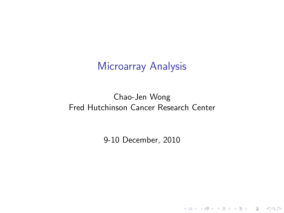# Microarray Analysis

#### Chao-Jen Wong Fred Hutchinson Cancer Research Center

9-10 December, 2010

**Kロトメ部トメミトメミト ミニのQC**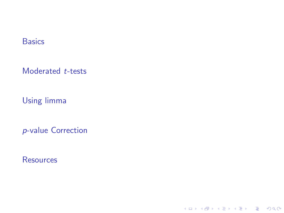**[Basics](#page-2-0)** 

[Moderated](#page-5-0) t-tests

[Using limma](#page-8-0)

p[-value Correction](#page-15-0)

**[Resources](#page-17-0)** 

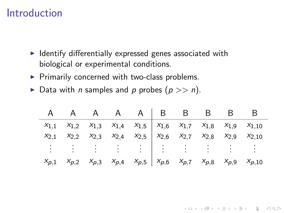## Introduction

<span id="page-2-0"></span> $\overline{a}$ 

- $\blacktriangleright$  Identify differentially expressed genes associated with biological or experimental conditions.
- $\blacktriangleright$  Primarily concerned with two-class problems.
- Data with *n* samples and *p* probes  $(p \gg n)$ .

|           |  | A A A A A B B B B                                                                                    |  |  |  |
|-----------|--|------------------------------------------------------------------------------------------------------|--|--|--|
|           |  | $x_{1,1}$ $x_{1,2}$ $x_{1,3}$ $x_{1,4}$ $x_{1,5}$ $x_{1,6}$ $x_{1,7}$ $x_{1,8}$ $x_{1,9}$ $x_{1,10}$ |  |  |  |
| $X_{2,1}$ |  | $x_{2,2}$ $x_{2,3}$ $x_{2,4}$ $x_{2,5}$ $x_{2,6}$ $x_{2,7}$ $x_{2,8}$ $x_{2,9}$ $x_{2,10}$           |  |  |  |
|           |  |                                                                                                      |  |  |  |
| $X_{p,1}$ |  | $x_{p,2}$ $x_{p,3}$ $x_{p,4}$ $x_{p,5}$ $x_{p,6}$ $x_{p,7}$ $x_{p,8}$ $x_{p,9}$ $x_{p,10}$           |  |  |  |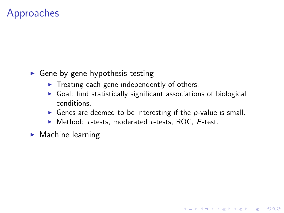# Approaches

- $\triangleright$  Gene-by-gene hypothesis testing
	- $\blacktriangleright$  Treating each gene independently of others.
	- $\triangleright$  Goal: find statistically significant associations of biological conditions.
	- Genes are deemed to be interesting if the  $p$ -value is small.

K ロ ▶ K 個 ▶ K 할 ▶ K 할 ▶ 이 할 → 이익 @

- $\blacktriangleright$  Method: t-tests, moderated t-tests, ROC, F-test.
- $\blacktriangleright$  Machine learning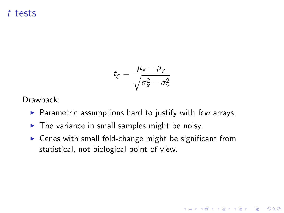#### t-tests

$$
t_g = \frac{\mu_x - \mu_y}{\sqrt{\sigma_x^2 - \sigma_y^2}}
$$

Drawback:

- $\triangleright$  Parametric assumptions hard to justify with few arrays.
- $\triangleright$  The variance in small samples might be noisy.
- $\triangleright$  Genes with small fold-change might be significant from statistical, not biological point of view.

K ロ ▶ K 個 ▶ K 할 ▶ K 할 ▶ 이 할 → 9 Q Q →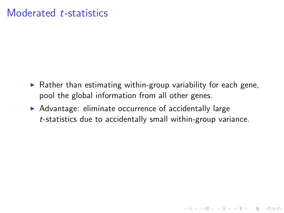## Moderated t-statistics

 $\triangleright$  Rather than estimating within-group variability for each gene, pool the global information from all other genes.

**KOD KAD KED KED DRA** 

<span id="page-5-0"></span> $\triangleright$  Advantage: eliminate occurrence of accidentally large t-statistics due to accidentally small within-group variance.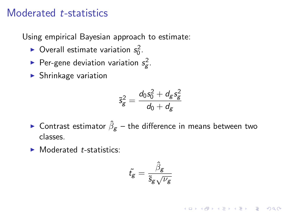## Moderated t-statistics

Using empirical Bayesian approach to estimate:

- $\blacktriangleright$  Overall estimate variation  $s_0^2$ .
- ▶ Per-gene deviation variation  $s_g^2$ .
- $\blacktriangleright$  Shrinkage variation

$$
\tilde{s}_g^2=\frac{d_0s_0^2+d_gs_g^2}{d_0+d_g}
$$

- $\blacktriangleright$  Contrast estimator  $\hat{\beta}_g$  the difference in means between two classes.
- $\blacktriangleright$  Moderated *t*-statistics:

$$
\tilde{t_g} = \frac{\hat{\beta}_g}{\tilde{s}_g \sqrt{\nu_g}}
$$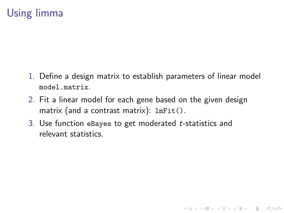# Using limma

1. Define a design matrix to establish parameters of linear model model.matrix.

- 2. Fit a linear model for each gene based on the given design matrix (and a contrast matrix): lmFit().
- 3. Use function eBayes to get moderated t-statistics and relevant statistics.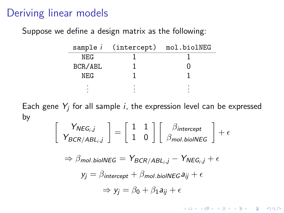## Deriving linear models

Suppose we define a design matrix as the following:

|            | sample <i>i</i> (intercept) | mol.biolNEG |
|------------|-----------------------------|-------------|
| NEG        |                             |             |
| BCR/ABL    |                             |             |
| <b>NEG</b> |                             |             |
|            |                             |             |
|            |                             |             |

Each gene  $Y_j$  for all sample  $i$ , the expression level can be expressed by

$$
\left[\begin{array}{c} Y_{NEG_i,j} \\ Y_{BCR/ABL_i,j} \end{array}\right] = \left[\begin{array}{cc} 1 & 1 \\ 1 & 0 \end{array}\right] \left[\begin{array}{c} \beta_{intercept} \\ \beta_{mol. biolNEG} \end{array}\right] + \epsilon
$$

<span id="page-8-0"></span>
$$
\Rightarrow \beta_{\text{mol.biolNEG}} = Y_{BCR/ABL_i,j} - Y_{NEG_i,j} + \epsilon
$$

$$
y_j = \beta_{intercept} + \beta_{mol \text{. biolNEG}} a_{ij} + \epsilon
$$

$$
\Rightarrow y_j = \beta_0 + \beta_1 a_{ij} + \epsilon
$$

KID KA KERKER KID KO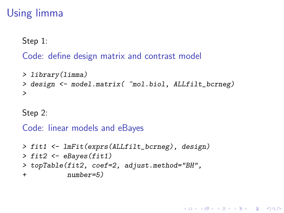# Using limma

Step 1:

#### Code: define design matrix and contrast model

```
> library(limma)
> design <- model.matrix( ~mol.biol, ALLfilt_bcrneg)
>
```
Step 2:

```
Code: linear models and eBayes
```

```
> fit1 <- lmFit(exprs(ALLfilt_bcrneg), design)
> fit2 \leftarrow eBayes(fit1)
> topTable(fit2, coef=2, adjust.method="BH",
+ number=5)
```
**KOD KAD KED KED DRA**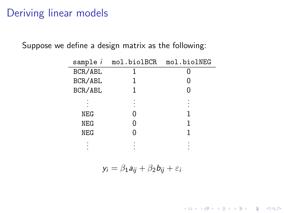# Deriving linear models

Suppose we define a design matrix as the following:

| sample <i>i</i> | mol.biolBCR | mol.biolNEG |
|-----------------|-------------|-------------|
| BCR/ABL         |             |             |
| BCR/ABL         |             |             |
| BCR/ABL         | 1           |             |
|                 |             |             |
| <b>NEG</b>      |             |             |
| <b>NEG</b>      |             |             |
| <b>NEG</b>      |             |             |
|                 |             |             |

 $y_i = \beta_1 a_{ii} + \beta_2 b_{ii} + \varepsilon_i$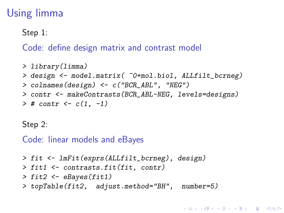# Using limma

Step 1:

Code: define design matrix and contrast model

```
> library(limma)
> design <- model.matrix( ~0+mol.biol, ALLfilt_bcrneg)
> colnames(design) <- c("BCR_ABL", "NEG")
> contr <- makeContrasts(BCR_ABL-NEG, levels=designs)
> # contr <- c(1, -1)
```
Step 2:

Code: linear models and eBayes

> fit <- lmFit(exprs(ALLfilt\_bcrneg), design)

- > fit1 <- contrasts.fit(fit, contr)
- $>$  fit2  $\leq$  eBayes(fit1)
- > topTable(fit2, adjust.method="BH", number=5)

**KORKARYKERKER POLO**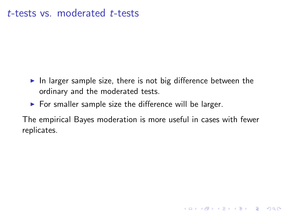### t-tests vs. moderated t-tests

- $\blacktriangleright$  In larger sample size, there is not big difference between the ordinary and the moderated tests.
- $\triangleright$  For smaller sample size the difference will be larger.

<span id="page-12-0"></span>The empirical Bayes moderation is more useful in cases with fewer replicates.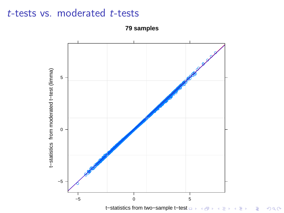# $t$ -tests vs. moderated  $t$ -tests

<span id="page-13-0"></span>

79 samples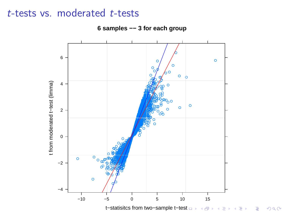## $t$ -tests vs. moderated  $t$ -tests



È

6 samples -- 3 for each group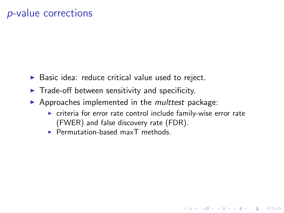# p-value corrections

- $\triangleright$  Basic idea: reduce critical value used to reject.
- $\blacktriangleright$  Trade-off between sensitivity and specificity.
- $\blacktriangleright$  Approaches implemented in the *multtest* package:
	- $\triangleright$  criteria for error rate control include family-wise error rate (FWER) and false discovery rate (FDR).

**KORKARYKERKER POLO** 

<span id="page-15-0"></span> $\blacktriangleright$  Permutation-based maxT methods.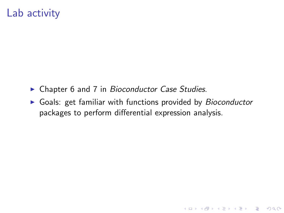# Lab activity

- ► Chapter 6 and 7 in Bioconductor Case Studies.
- $\triangleright$  Goals: get familiar with functions provided by *Bioconductor* packages to perform differential expression analysis.

**KOD KAD KED KED DRA**